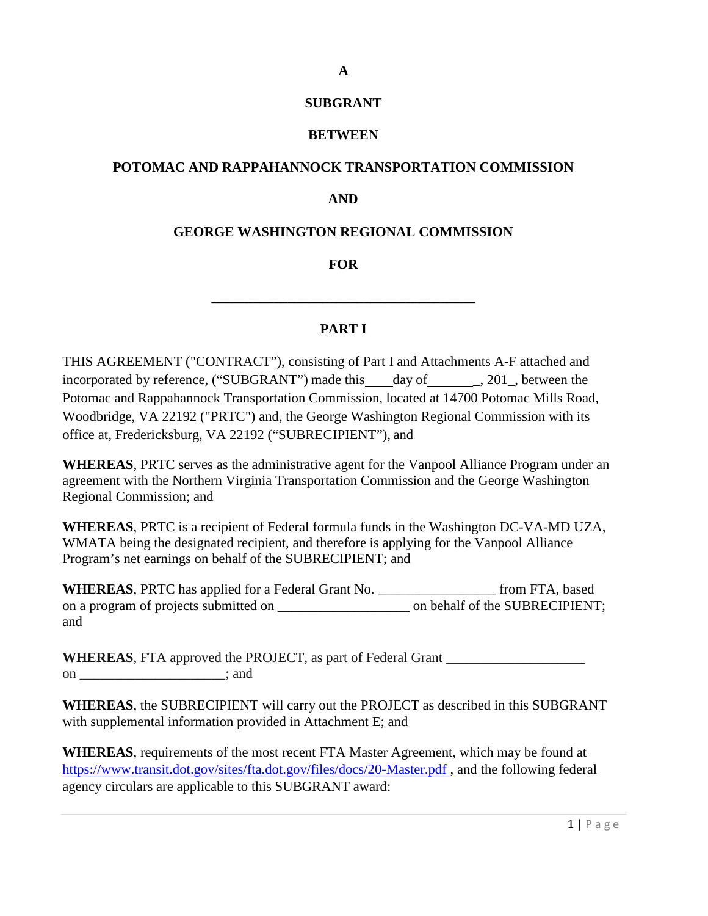### **SUBGRANT**

**A**

### **BETWEEN**

### **POTOMAC AND RAPPAHANNOCK TRANSPORTATION COMMISSION**

### **AND**

### **GEORGE WASHINGTON REGIONAL COMMISSION**

**FOR**

**\_\_\_\_\_\_\_\_\_\_\_\_\_\_\_\_\_\_\_\_\_\_\_\_\_\_\_\_\_\_\_\_\_\_\_\_\_\_**

#### **PART I**

THIS AGREEMENT ("CONTRACT"), consisting of Part I and Attachments A-F attached and incorporated by reference, ("SUBGRANT") made this day of \_\_\_\_\_\_, 201\_, between the Potomac and Rappahannock Transportation Commission, located at 14700 Potomac Mills Road, Woodbridge, VA 22192 ("PRTC") and, the George Washington Regional Commission with its office at, Fredericksburg, VA 22192 ("SUBRECIPIENT"), and

**WHEREAS**, PRTC serves as the administrative agent for the Vanpool Alliance Program under an agreement with the Northern Virginia Transportation Commission and the George Washington Regional Commission; and

**WHEREAS**, PRTC is a recipient of Federal formula funds in the Washington DC-VA-MD UZA, WMATA being the designated recipient, and therefore is applying for the Vanpool Alliance Program's net earnings on behalf of the SUBRECIPIENT; and

**WHEREAS**, PRTC has applied for a Federal Grant No. \_\_\_\_\_\_\_\_\_\_\_\_\_\_\_\_\_ from FTA, based on a program of projects submitted on \_\_\_\_\_\_\_\_\_\_\_\_\_\_\_\_\_\_\_ on behalf of the SUBRECIPIENT; and

**WHEREAS**, FTA approved the PROJECT, as part of Federal Grant on ; and

**WHEREAS**, the SUBRECIPIENT will carry out the PROJECT as described in this SUBGRANT with supplemental information provided in Attachment E; and

**WHEREAS**, requirements of the most recent FTA Master Agreement, which may be found at [https://www.transit.dot.gov/sites/fta.dot.gov/files/docs/20-Master.pdf ,](https://www.transit.dot.gov/sites/fta.dot.gov/files/docs/20-Master.pdf) and the following federal agency circulars are applicable to this SUBGRANT award: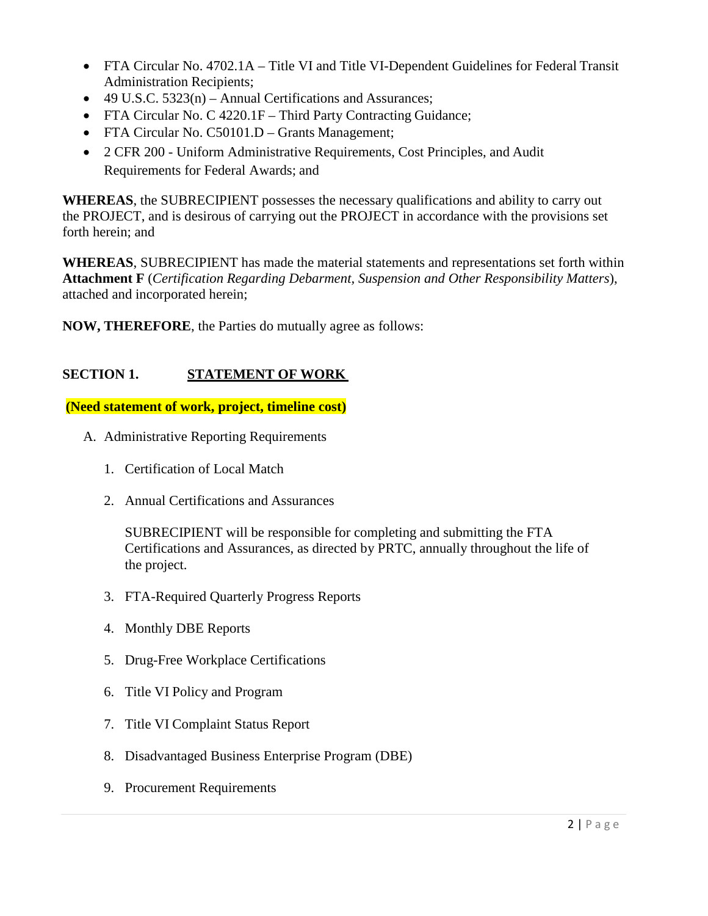- FTA Circular No. 4702.1A Title VI and Title VI-Dependent Guidelines for Federal Transit Administration Recipients;
- 49 U.S.C. 5323(n) Annual Certifications and Assurances;
- FTA Circular No. C 4220.1F Third Party Contracting Guidance;
- FTA Circular No. C50101.D Grants Management;
- 2 CFR 200 Uniform Administrative Requirements, Cost Principles, and Audit Requirements for Federal Awards; and

**WHEREAS**, the SUBRECIPIENT possesses the necessary qualifications and ability to carry out the PROJECT, and is desirous of carrying out the PROJECT in accordance with the provisions set forth herein; and

**WHEREAS**, SUBRECIPIENT has made the material statements and representations set forth within **Attachment F** (*Certification Regarding Debarment, Suspension and Other Responsibility Matters*), attached and incorporated herein;

**NOW, THEREFORE**, the Parties do mutually agree as follows:

# **SECTION 1. STATEMENT OF WORK**

**(Need statement of work, project, timeline cost)**

- A. Administrative Reporting Requirements
	- 1. Certification of Local Match
	- 2. Annual Certifications and Assurances

SUBRECIPIENT will be responsible for completing and submitting the FTA Certifications and Assurances, as directed by PRTC, annually throughout the life of the project.

- 3. FTA-Required Quarterly Progress Reports
- 4. Monthly DBE Reports
- 5. Drug-Free Workplace Certifications
- 6. Title VI Policy and Program
- 7. Title VI Complaint Status Report
- 8. Disadvantaged Business Enterprise Program (DBE)
- 9. Procurement Requirements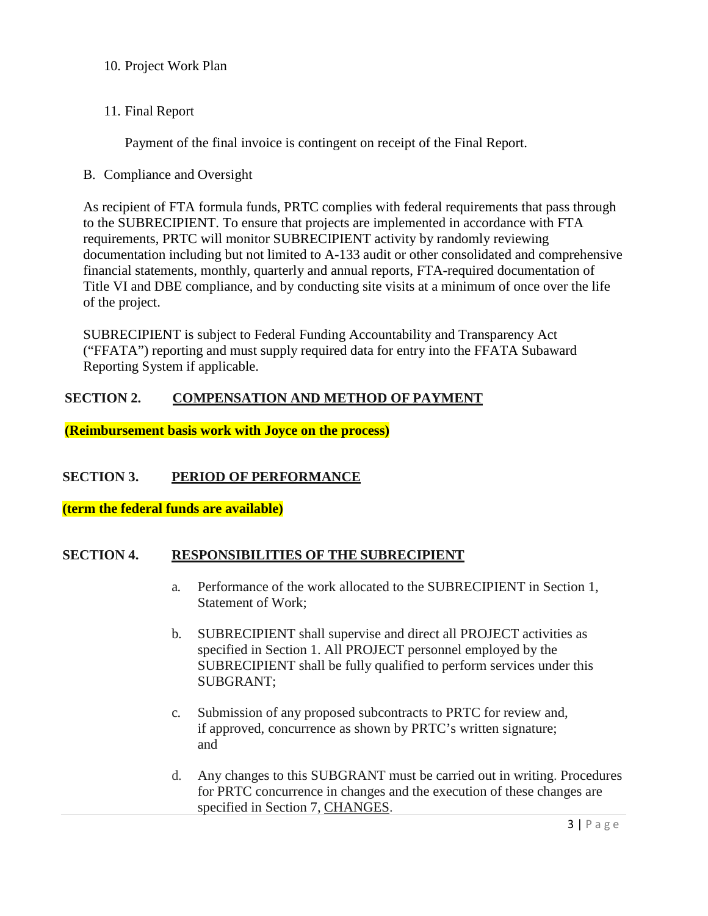- 10. Project Work Plan
- 11. Final Report

Payment of the final invoice is contingent on receipt of the Final Report.

B. Compliance and Oversight

As recipient of FTA formula funds, PRTC complies with federal requirements that pass through to the SUBRECIPIENT. To ensure that projects are implemented in accordance with FTA requirements, PRTC will monitor SUBRECIPIENT activity by randomly reviewing documentation including but not limited to A-133 audit or other consolidated and comprehensive financial statements, monthly, quarterly and annual reports, FTA-required documentation of Title VI and DBE compliance, and by conducting site visits at a minimum of once over the life of the project.

SUBRECIPIENT is subject to Federal Funding Accountability and Transparency Act ("FFATA") reporting and must supply required data for entry into the FFATA Subaward Reporting System if applicable.

# **SECTION 2. COMPENSATION AND METHOD OF PAYMENT**

**(Reimbursement basis work with Joyce on the process)**

## **SECTION 3. PERIOD OF PERFORMANCE**

**(term the federal funds are available)**

## **SECTION 4. RESPONSIBILITIES OF THE SUBRECIPIENT**

- a. Performance of the work allocated to the SUBRECIPIENT in Section 1, Statement of Work;
- b. SUBRECIPIENT shall supervise and direct all PROJECT activities as specified in Section 1. All PROJECT personnel employed by the SUBRECIPIENT shall be fully qualified to perform services under this SUBGRANT;
- c. Submission of any proposed subcontracts to PRTC for review and, if approved, concurrence as shown by PRTC's written signature; and
- d. Any changes to this SUBGRANT must be carried out in writing. Procedures for PRTC concurrence in changes and the execution of these changes are specified in Section 7, CHANGES.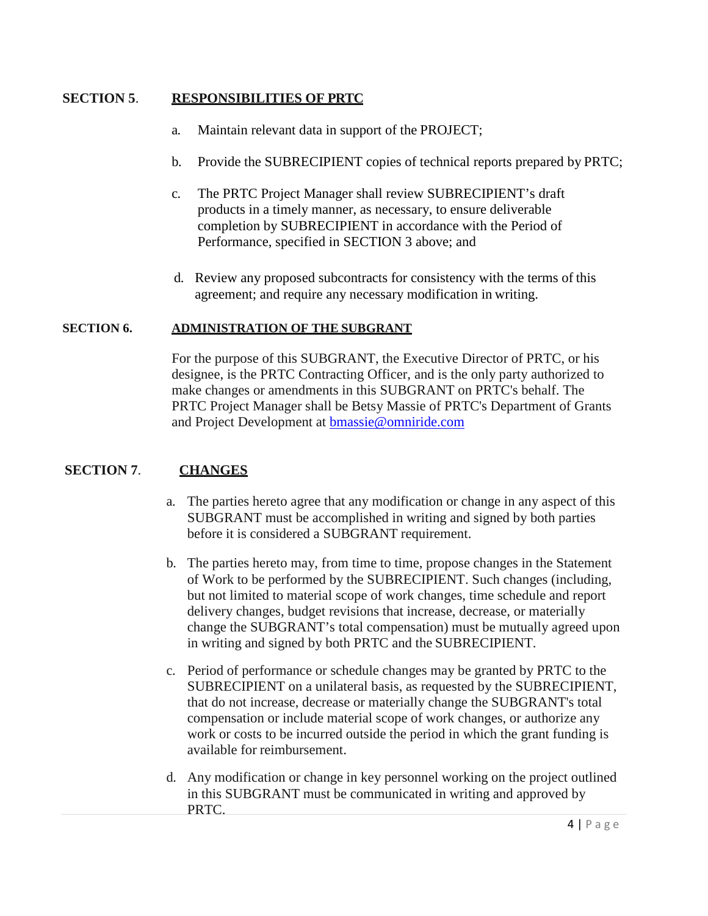## **SECTION 5**. **RESPONSIBILITIES OF PRTC**

- a. Maintain relevant data in support of the PROJECT;
- b. Provide the SUBRECIPIENT copies of technical reports prepared by PRTC;
- c. The PRTC Project Manager shall review SUBRECIPIENT's draft products in a timely manner, as necessary, to ensure deliverable completion by SUBRECIPIENT in accordance with the Period of Performance, specified in SECTION 3 above; and
- d. Review any proposed subcontracts for consistency with the terms of this agreement; and require any necessary modification in writing.

### **SECTION 6. ADMINISTRATION OF THE SUBGRANT**

For the purpose of this SUBGRANT, the Executive Director of PRTC, or his designee, is the PRTC Contracting Officer, and is the only party authorized to make changes or amendments in this SUBGRANT on PRTC's behalf. The PRTC Project Manager shall be Betsy Massie of PRTC's Department of Grants and Project Development at [bmassie@omniride.com](mailto:bmassie@omniride.com)

## **SECTION 7**. **CHANGES**

- a. The parties hereto agree that any modification or change in any aspect of this SUBGRANT must be accomplished in writing and signed by both parties before it is considered a SUBGRANT requirement.
- b. The parties hereto may, from time to time, propose changes in the Statement of Work to be performed by the SUBRECIPIENT. Such changes (including, but not limited to material scope of work changes, time schedule and report delivery changes, budget revisions that increase, decrease, or materially change the SUBGRANT's total compensation) must be mutually agreed upon in writing and signed by both PRTC and the SUBRECIPIENT.
- c. Period of performance or schedule changes may be granted by PRTC to the SUBRECIPIENT on a unilateral basis, as requested by the SUBRECIPIENT, that do not increase, decrease or materially change the SUBGRANT's total compensation or include material scope of work changes, or authorize any work or costs to be incurred outside the period in which the grant funding is available for reimbursement.
- d. Any modification or change in key personnel working on the project outlined in this SUBGRANT must be communicated in writing and approved by PRTC.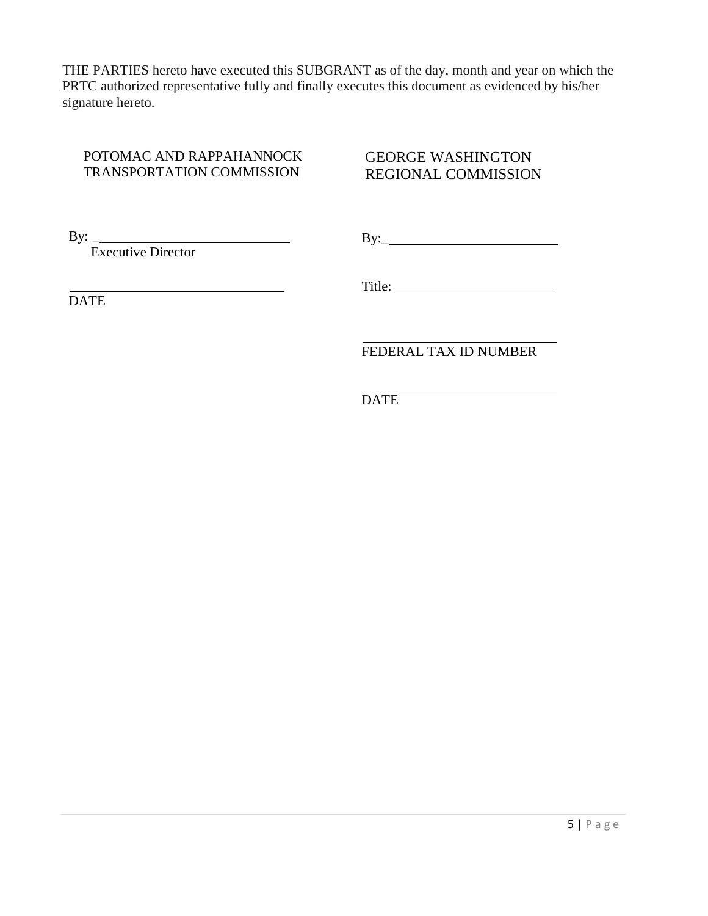THE PARTIES hereto have executed this SUBGRANT as of the day, month and year on which the PRTC authorized representative fully and finally executes this document as evidenced by his/her signature hereto.

## POTOMAC AND RAPPAHANNOCK TRANSPORTATION COMMISSION

# GEORGE WASHINGTON REGIONAL COMMISSION

By:  $\_$ 

Executive Director

By:\_

**DATE** 

Title:

FEDERAL TAX ID NUMBER

DATE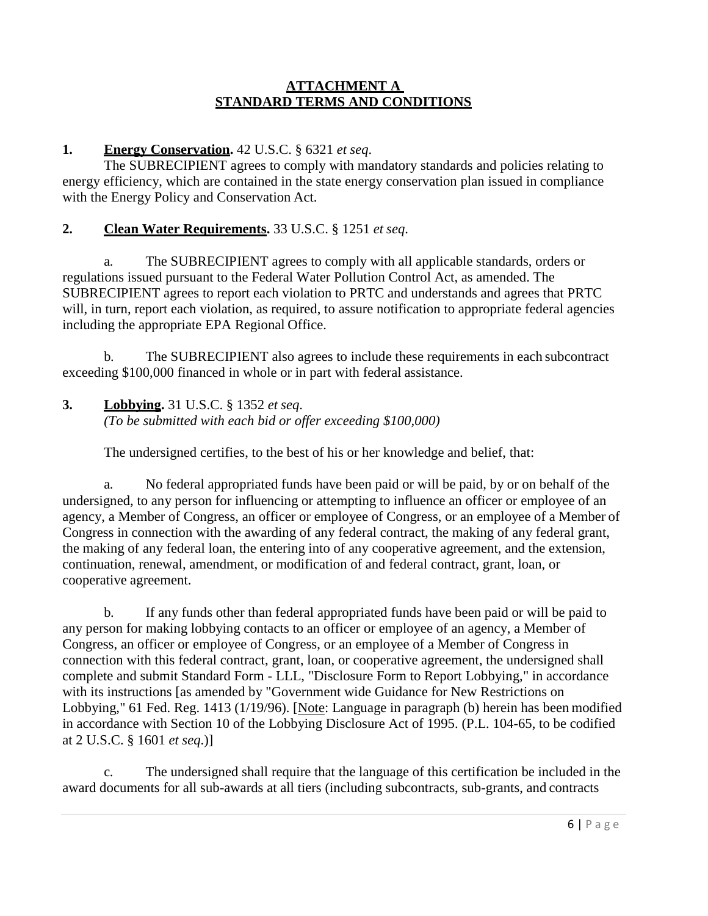### **ATTACHMENT A STANDARD TERMS AND CONDITIONS**

# **1. Energy Conservation.** 42 U.S.C. § 6321 *et seq*.

The SUBRECIPIENT agrees to comply with mandatory standards and policies relating to energy efficiency, which are contained in the state energy conservation plan issued in compliance with the Energy Policy and Conservation Act.

# **2. Clean Water Requirements.** 33 U.S.C. § 1251 *et seq*.

a. The SUBRECIPIENT agrees to comply with all applicable standards, orders or regulations issued pursuant to the Federal Water Pollution Control Act, as amended. The SUBRECIPIENT agrees to report each violation to PRTC and understands and agrees that PRTC will, in turn, report each violation, as required, to assure notification to appropriate federal agencies including the appropriate EPA Regional Office.

b. The SUBRECIPIENT also agrees to include these requirements in each subcontract exceeding \$100,000 financed in whole or in part with federal assistance.

**3. Lobbying.** 31 U.S.C. § 1352 *et seq*. *(To be submitted with each bid or offer exceeding \$100,000)*

The undersigned certifies, to the best of his or her knowledge and belief, that:

a. No federal appropriated funds have been paid or will be paid, by or on behalf of the undersigned, to any person for influencing or attempting to influence an officer or employee of an agency, a Member of Congress, an officer or employee of Congress, or an employee of a Member of Congress in connection with the awarding of any federal contract, the making of any federal grant, the making of any federal loan, the entering into of any cooperative agreement, and the extension, continuation, renewal, amendment, or modification of and federal contract, grant, loan, or cooperative agreement.

b. If any funds other than federal appropriated funds have been paid or will be paid to any person for making lobbying contacts to an officer or employee of an agency, a Member of Congress, an officer or employee of Congress, or an employee of a Member of Congress in connection with this federal contract, grant, loan, or cooperative agreement, the undersigned shall complete and submit Standard Form - LLL, "Disclosure Form to Report Lobbying," in accordance with its instructions [as amended by "Government wide Guidance for New Restrictions on Lobbying," 61 Fed. Reg. 1413 (1/19/96). [Note: Language in paragraph (b) herein has been modified in accordance with Section 10 of the Lobbying Disclosure Act of 1995. (P.L. 104-65, to be codified at 2 U.S.C. § 1601 *et seq*.)]

c. The undersigned shall require that the language of this certification be included in the award documents for all sub-awards at all tiers (including subcontracts, sub-grants, and contracts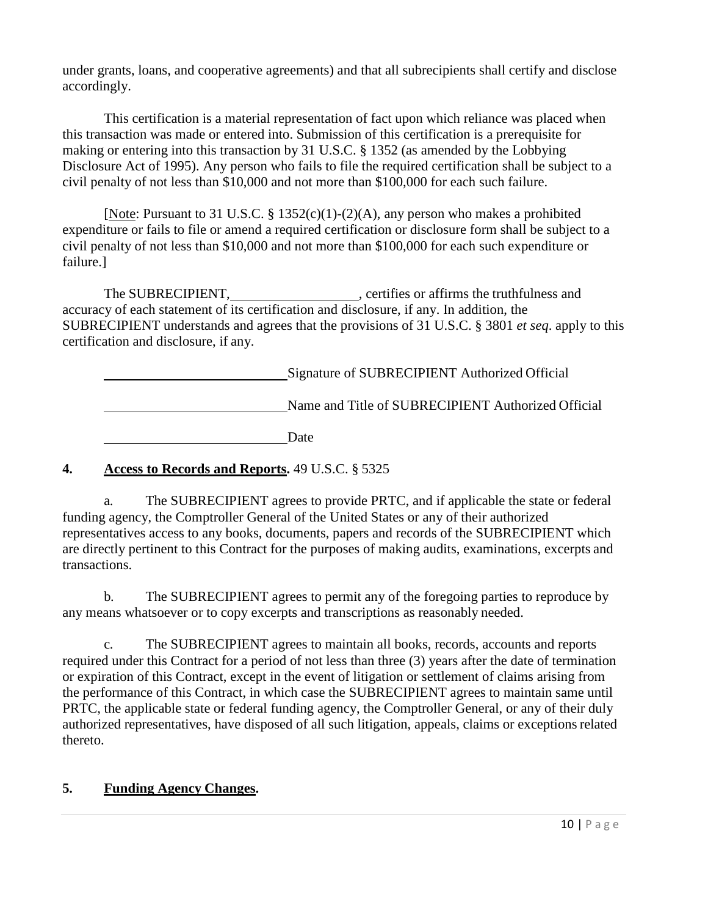under grants, loans, and cooperative agreements) and that all subrecipients shall certify and disclose accordingly.

This certification is a material representation of fact upon which reliance was placed when this transaction was made or entered into. Submission of this certification is a prerequisite for making or entering into this transaction by 31 U.S.C. § 1352 (as amended by the Lobbying Disclosure Act of 1995). Any person who fails to file the required certification shall be subject to a civil penalty of not less than \$10,000 and not more than \$100,000 for each such failure.

[Note: Pursuant to 31 U.S.C. § 1352(c)(1)-(2)(A), any person who makes a prohibited expenditure or fails to file or amend a required certification or disclosure form shall be subject to a civil penalty of not less than \$10,000 and not more than \$100,000 for each such expenditure or failure.]

The SUBRECIPIENT, certifies or affirms the truthfulness and accuracy of each statement of its certification and disclosure, if any. In addition, the SUBRECIPIENT understands and agrees that the provisions of 31 U.S.C. § 3801 *et seq*. apply to this certification and disclosure, if any.

Signature of SUBRECIPIENT Authorized Official Name and Title of SUBRECIPIENT Authorized Official **Date** Date

## **4. Access to Records and Reports.** 49 U.S.C. § 5325

a. The SUBRECIPIENT agrees to provide PRTC, and if applicable the state or federal funding agency, the Comptroller General of the United States or any of their authorized representatives access to any books, documents, papers and records of the SUBRECIPIENT which are directly pertinent to this Contract for the purposes of making audits, examinations, excerpts and transactions.

b. The SUBRECIPIENT agrees to permit any of the foregoing parties to reproduce by any means whatsoever or to copy excerpts and transcriptions as reasonably needed.

c. The SUBRECIPIENT agrees to maintain all books, records, accounts and reports required under this Contract for a period of not less than three (3) years after the date of termination or expiration of this Contract, except in the event of litigation or settlement of claims arising from the performance of this Contract, in which case the SUBRECIPIENT agrees to maintain same until PRTC, the applicable state or federal funding agency, the Comptroller General, or any of their duly authorized representatives, have disposed of all such litigation, appeals, claims or exceptionsrelated thereto.

## **5. Funding Agency Changes.**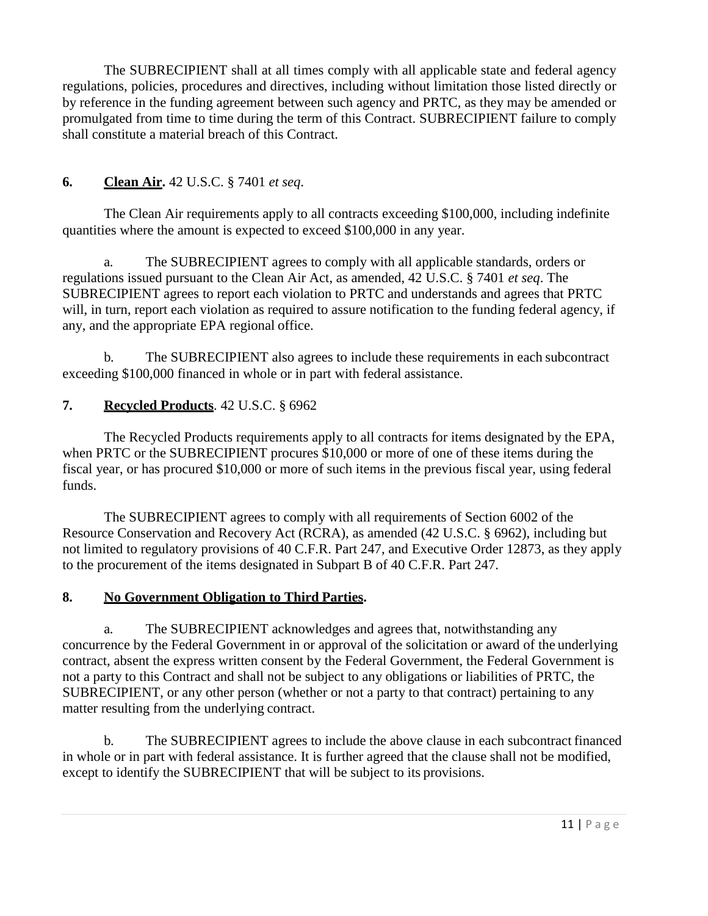The SUBRECIPIENT shall at all times comply with all applicable state and federal agency regulations, policies, procedures and directives, including without limitation those listed directly or by reference in the funding agreement between such agency and PRTC, as they may be amended or promulgated from time to time during the term of this Contract. SUBRECIPIENT failure to comply shall constitute a material breach of this Contract.

# **6. Clean Air.** 42 U.S.C. § 7401 *et seq*.

The Clean Air requirements apply to all contracts exceeding \$100,000, including indefinite quantities where the amount is expected to exceed \$100,000 in any year.

a. The SUBRECIPIENT agrees to comply with all applicable standards, orders or regulations issued pursuant to the Clean Air Act, as amended, 42 U.S.C. § 7401 *et seq*. The SUBRECIPIENT agrees to report each violation to PRTC and understands and agrees that PRTC will, in turn, report each violation as required to assure notification to the funding federal agency, if any, and the appropriate EPA regional office.

b. The SUBRECIPIENT also agrees to include these requirements in each subcontract exceeding \$100,000 financed in whole or in part with federal assistance.

# **7. Recycled Products**. 42 U.S.C. § 6962

The Recycled Products requirements apply to all contracts for items designated by the EPA, when PRTC or the SUBRECIPIENT procures \$10,000 or more of one of these items during the fiscal year, or has procured \$10,000 or more of such items in the previous fiscal year, using federal funds.

The SUBRECIPIENT agrees to comply with all requirements of Section 6002 of the Resource Conservation and Recovery Act (RCRA), as amended (42 U.S.C. § 6962), including but not limited to regulatory provisions of 40 C.F.R. Part 247, and Executive Order 12873, as they apply to the procurement of the items designated in Subpart B of 40 C.F.R. Part 247.

## **8. No Government Obligation to Third Parties.**

a. The SUBRECIPIENT acknowledges and agrees that, notwithstanding any concurrence by the Federal Government in or approval of the solicitation or award of the underlying contract, absent the express written consent by the Federal Government, the Federal Government is not a party to this Contract and shall not be subject to any obligations or liabilities of PRTC, the SUBRECIPIENT, or any other person (whether or not a party to that contract) pertaining to any matter resulting from the underlying contract.

b. The SUBRECIPIENT agrees to include the above clause in each subcontract financed in whole or in part with federal assistance. It is further agreed that the clause shall not be modified, except to identify the SUBRECIPIENT that will be subject to its provisions.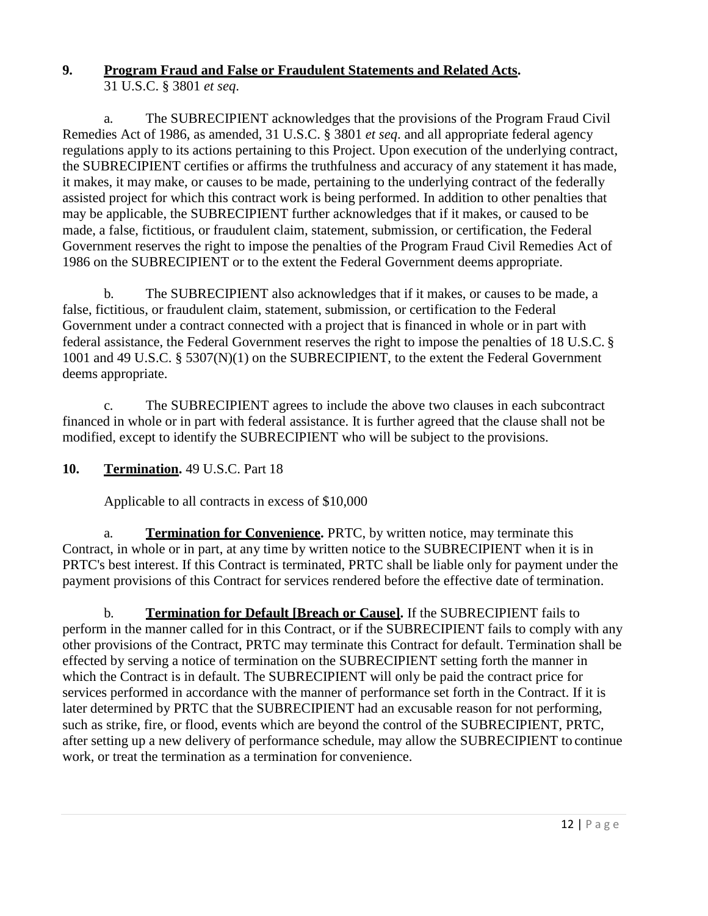# **9. Program Fraud and False or Fraudulent Statements and Related Acts.**

31 U.S.C. § 3801 *et seq*.

a. The SUBRECIPIENT acknowledges that the provisions of the Program Fraud Civil Remedies Act of 1986, as amended, 31 U.S.C. § 3801 *et seq*. and all appropriate federal agency regulations apply to its actions pertaining to this Project. Upon execution of the underlying contract, the SUBRECIPIENT certifies or affirms the truthfulness and accuracy of any statement it has made, it makes, it may make, or causes to be made, pertaining to the underlying contract of the federally assisted project for which this contract work is being performed. In addition to other penalties that may be applicable, the SUBRECIPIENT further acknowledges that if it makes, or caused to be made, a false, fictitious, or fraudulent claim, statement, submission, or certification, the Federal Government reserves the right to impose the penalties of the Program Fraud Civil Remedies Act of 1986 on the SUBRECIPIENT or to the extent the Federal Government deems appropriate.

b. The SUBRECIPIENT also acknowledges that if it makes, or causes to be made, a false, fictitious, or fraudulent claim, statement, submission, or certification to the Federal Government under a contract connected with a project that is financed in whole or in part with federal assistance, the Federal Government reserves the right to impose the penalties of 18 U.S.C. § 1001 and 49 U.S.C. § 5307(N)(1) on the SUBRECIPIENT, to the extent the Federal Government deems appropriate.

c. The SUBRECIPIENT agrees to include the above two clauses in each subcontract financed in whole or in part with federal assistance. It is further agreed that the clause shall not be modified, except to identify the SUBRECIPIENT who will be subject to the provisions.

**10. Termination.** 49 U.S.C. Part 18

Applicable to all contracts in excess of \$10,000

a. **Termination for Convenience.** PRTC, by written notice, may terminate this Contract, in whole or in part, at any time by written notice to the SUBRECIPIENT when it is in PRTC's best interest. If this Contract is terminated, PRTC shall be liable only for payment under the payment provisions of this Contract for services rendered before the effective date of termination.

b. **Termination for Default [Breach or Cause].** If the SUBRECIPIENT fails to perform in the manner called for in this Contract, or if the SUBRECIPIENT fails to comply with any other provisions of the Contract, PRTC may terminate this Contract for default. Termination shall be effected by serving a notice of termination on the SUBRECIPIENT setting forth the manner in which the Contract is in default. The SUBRECIPIENT will only be paid the contract price for services performed in accordance with the manner of performance set forth in the Contract. If it is later determined by PRTC that the SUBRECIPIENT had an excusable reason for not performing, such as strike, fire, or flood, events which are beyond the control of the SUBRECIPIENT, PRTC, after setting up a new delivery of performance schedule, may allow the SUBRECIPIENT to continue work, or treat the termination as a termination for convenience.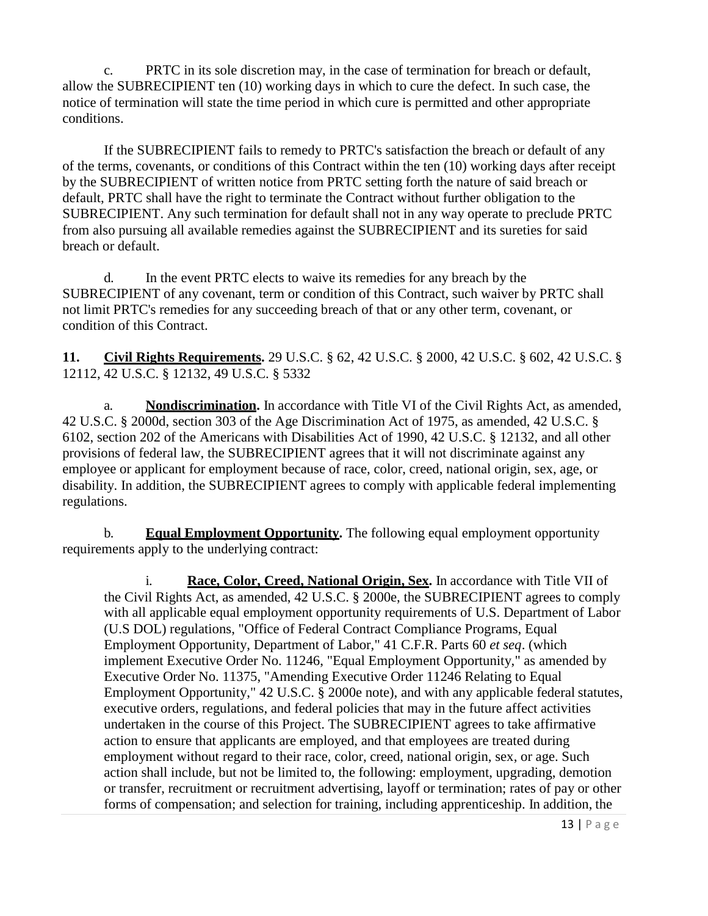c. PRTC in its sole discretion may, in the case of termination for breach or default, allow the SUBRECIPIENT ten (10) working days in which to cure the defect. In such case, the notice of termination will state the time period in which cure is permitted and other appropriate conditions.

If the SUBRECIPIENT fails to remedy to PRTC's satisfaction the breach or default of any of the terms, covenants, or conditions of this Contract within the ten (10) working days after receipt by the SUBRECIPIENT of written notice from PRTC setting forth the nature of said breach or default, PRTC shall have the right to terminate the Contract without further obligation to the SUBRECIPIENT. Any such termination for default shall not in any way operate to preclude PRTC from also pursuing all available remedies against the SUBRECIPIENT and its sureties for said breach or default.

d. In the event PRTC elects to waive its remedies for any breach by the SUBRECIPIENT of any covenant, term or condition of this Contract, such waiver by PRTC shall not limit PRTC's remedies for any succeeding breach of that or any other term, covenant, or condition of this Contract.

**11. Civil Rights Requirements.** 29 U.S.C. § 62, 42 U.S.C. § 2000, 42 U.S.C. § 602, 42 U.S.C. § 12112, 42 U.S.C. § 12132, 49 U.S.C. § 5332

a. **Nondiscrimination.** In accordance with Title VI of the Civil Rights Act, as amended, 42 U.S.C. § 2000d, section 303 of the Age Discrimination Act of 1975, as amended, 42 U.S.C. § 6102, section 202 of the Americans with Disabilities Act of 1990, 42 U.S.C. § 12132, and all other provisions of federal law, the SUBRECIPIENT agrees that it will not discriminate against any employee or applicant for employment because of race, color, creed, national origin, sex, age, or disability. In addition, the SUBRECIPIENT agrees to comply with applicable federal implementing regulations.

b. **Equal Employment Opportunity.** The following equal employment opportunity requirements apply to the underlying contract:

i. **Race, Color, Creed, National Origin, Sex.** In accordance with Title VII of the Civil Rights Act, as amended, 42 U.S.C. § 2000e, the SUBRECIPIENT agrees to comply with all applicable equal employment opportunity requirements of U.S. Department of Labor (U.S DOL) regulations, "Office of Federal Contract Compliance Programs, Equal Employment Opportunity, Department of Labor," 41 C.F.R. Parts 60 *et seq*. (which implement Executive Order No. 11246, "Equal Employment Opportunity," as amended by Executive Order No. 11375, "Amending Executive Order 11246 Relating to Equal Employment Opportunity," 42 U.S.C. § 2000e note), and with any applicable federal statutes, executive orders, regulations, and federal policies that may in the future affect activities undertaken in the course of this Project. The SUBRECIPIENT agrees to take affirmative action to ensure that applicants are employed, and that employees are treated during employment without regard to their race, color, creed, national origin, sex, or age. Such action shall include, but not be limited to, the following: employment, upgrading, demotion or transfer, recruitment or recruitment advertising, layoff or termination; rates of pay or other forms of compensation; and selection for training, including apprenticeship. In addition, the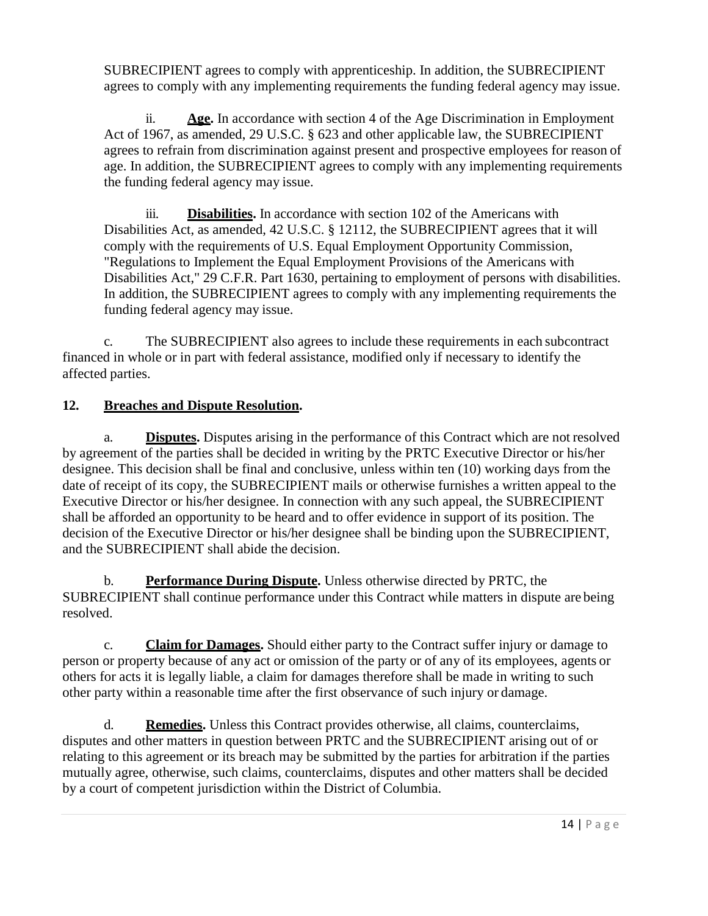SUBRECIPIENT agrees to comply with apprenticeship. In addition, the SUBRECIPIENT agrees to comply with any implementing requirements the funding federal agency may issue.

ii. **Age.** In accordance with section 4 of the Age Discrimination in Employment Act of 1967, as amended, 29 U.S.C. § 623 and other applicable law, the SUBRECIPIENT agrees to refrain from discrimination against present and prospective employees for reason of age. In addition, the SUBRECIPIENT agrees to comply with any implementing requirements the funding federal agency may issue.

iii. **Disabilities.** In accordance with section 102 of the Americans with Disabilities Act, as amended, 42 U.S.C. § 12112, the SUBRECIPIENT agrees that it will comply with the requirements of U.S. Equal Employment Opportunity Commission, "Regulations to Implement the Equal Employment Provisions of the Americans with Disabilities Act," 29 C.F.R. Part 1630, pertaining to employment of persons with disabilities. In addition, the SUBRECIPIENT agrees to comply with any implementing requirements the funding federal agency may issue.

c. The SUBRECIPIENT also agrees to include these requirements in each subcontract financed in whole or in part with federal assistance, modified only if necessary to identify the affected parties.

# **12. Breaches and Dispute Resolution.**

a. **Disputes.** Disputes arising in the performance of this Contract which are not resolved by agreement of the parties shall be decided in writing by the PRTC Executive Director or his/her designee. This decision shall be final and conclusive, unless within ten (10) working days from the date of receipt of its copy, the SUBRECIPIENT mails or otherwise furnishes a written appeal to the Executive Director or his/her designee. In connection with any such appeal, the SUBRECIPIENT shall be afforded an opportunity to be heard and to offer evidence in support of its position. The decision of the Executive Director or his/her designee shall be binding upon the SUBRECIPIENT, and the SUBRECIPIENT shall abide the decision.

b. **Performance During Dispute.** Unless otherwise directed by PRTC, the SUBRECIPIENT shall continue performance under this Contract while matters in dispute are being resolved.

c. **Claim for Damages.** Should either party to the Contract suffer injury or damage to person or property because of any act or omission of the party or of any of its employees, agents or others for acts it is legally liable, a claim for damages therefore shall be made in writing to such other party within a reasonable time after the first observance of such injury or damage.

d. **Remedies.** Unless this Contract provides otherwise, all claims, counterclaims, disputes and other matters in question between PRTC and the SUBRECIPIENT arising out of or relating to this agreement or its breach may be submitted by the parties for arbitration if the parties mutually agree, otherwise, such claims, counterclaims, disputes and other matters shall be decided by a court of competent jurisdiction within the District of Columbia.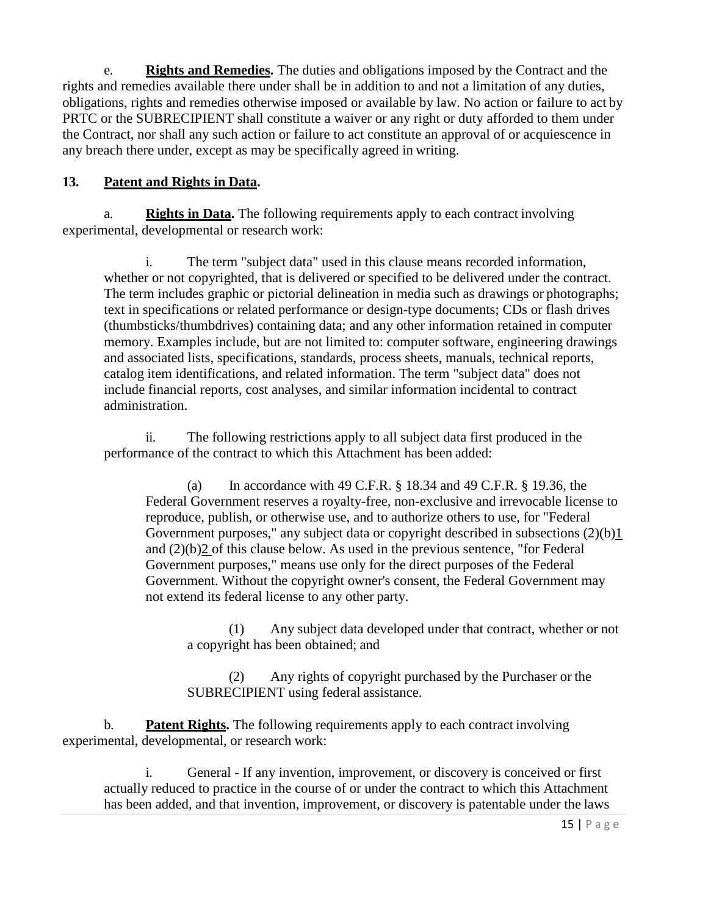e. **Rights and Remedies.** The duties and obligations imposed by the Contract and the rights and remedies available there under shall be in addition to and not a limitation of any duties, obligations, rights and remedies otherwise imposed or available by law. No action or failure to act by PRTC or the SUBRECIPIENT shall constitute a waiver or any right or duty afforded to them under the Contract, nor shall any such action or failure to act constitute an approval of or acquiescence in any breach there under, except as may be specifically agreed in writing.

### **13. Patent and Rights in Data.**

a. **Rights in Data.** The following requirements apply to each contract involving experimental, developmental or research work:

i. The term "subject data" used in this clause means recorded information, whether or not copyrighted, that is delivered or specified to be delivered under the contract. The term includes graphic or pictorial delineation in media such as drawings or photographs; text in specifications or related performance or design-type documents; CDs or flash drives (thumbsticks/thumbdrives) containing data; and any other information retained in computer memory. Examples include, but are not limited to: computer software, engineering drawings and associated lists, specifications, standards, process sheets, manuals, technical reports, catalog item identifications, and related information. The term "subject data" does not include financial reports, cost analyses, and similar information incidental to contract administration.

ii. The following restrictions apply to all subject data first produced in the performance of the contract to which this Attachment has been added:

(a) In accordance with 49 C.F.R.  $\S$  18.34 and 49 C.F.R.  $\S$  19.36, the Federal Government reserves a royalty-free, non-exclusive and irrevocable license to reproduce, publish, or otherwise use, and to authorize others to use, for "Federal Government purposes," any subject data or copyright described in subsections (2)(b)1 and (2)(b)2 of this clause below. As used in the previous sentence, "for Federal Government purposes," means use only for the direct purposes of the Federal Government. Without the copyright owner's consent, the Federal Government may not extend its federal license to any other party.

(1) Any subject data developed under that contract, whether or not a copyright has been obtained; and

(2) Any rights of copyright purchased by the Purchaser or the SUBRECIPIENT using federal assistance.

b. **Patent Rights.** The following requirements apply to each contract involving experimental, developmental, or research work:

General - If any invention, improvement, or discovery is conceived or first actually reduced to practice in the course of or under the contract to which this Attachment has been added, and that invention, improvement, or discovery is patentable under the laws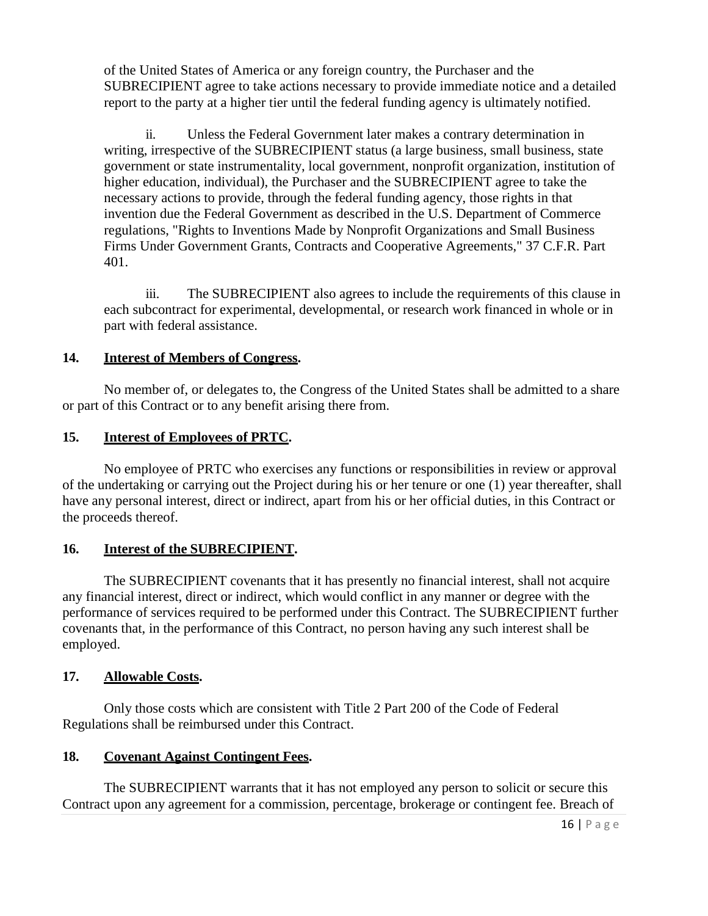of the United States of America or any foreign country, the Purchaser and the SUBRECIPIENT agree to take actions necessary to provide immediate notice and a detailed report to the party at a higher tier until the federal funding agency is ultimately notified.

ii. Unless the Federal Government later makes a contrary determination in writing, irrespective of the SUBRECIPIENT status (a large business, small business, state government or state instrumentality, local government, nonprofit organization, institution of higher education, individual), the Purchaser and the SUBRECIPIENT agree to take the necessary actions to provide, through the federal funding agency, those rights in that invention due the Federal Government as described in the U.S. Department of Commerce regulations, "Rights to Inventions Made by Nonprofit Organizations and Small Business Firms Under Government Grants, Contracts and Cooperative Agreements," 37 C.F.R. Part 401.

iii. The SUBRECIPIENT also agrees to include the requirements of this clause in each subcontract for experimental, developmental, or research work financed in whole or in part with federal assistance.

### **14. Interest of Members of Congress.**

No member of, or delegates to, the Congress of the United States shall be admitted to a share or part of this Contract or to any benefit arising there from.

### **15. Interest of Employees of PRTC.**

No employee of PRTC who exercises any functions or responsibilities in review or approval of the undertaking or carrying out the Project during his or her tenure or one (1) year thereafter, shall have any personal interest, direct or indirect, apart from his or her official duties, in this Contract or the proceeds thereof.

## **16. Interest of the SUBRECIPIENT.**

The SUBRECIPIENT covenants that it has presently no financial interest, shall not acquire any financial interest, direct or indirect, which would conflict in any manner or degree with the performance of services required to be performed under this Contract. The SUBRECIPIENT further covenants that, in the performance of this Contract, no person having any such interest shall be employed.

## **17. Allowable Costs.**

Only those costs which are consistent with Title 2 Part 200 of the Code of Federal Regulations shall be reimbursed under this Contract.

### **18. Covenant Against Contingent Fees.**

The SUBRECIPIENT warrants that it has not employed any person to solicit or secure this Contract upon any agreement for a commission, percentage, brokerage or contingent fee. Breach of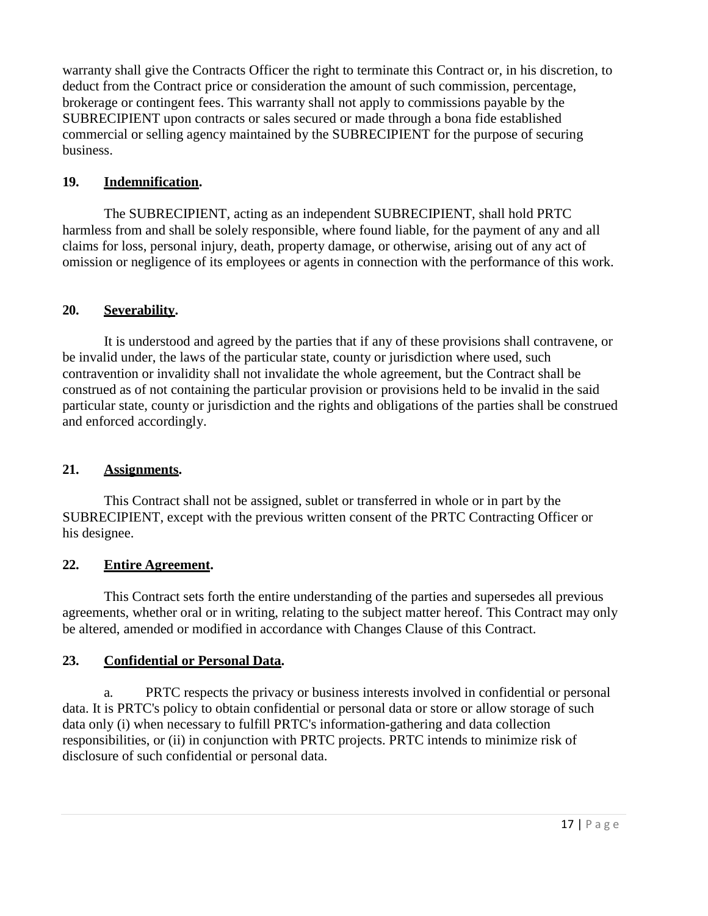warranty shall give the Contracts Officer the right to terminate this Contract or, in his discretion, to deduct from the Contract price or consideration the amount of such commission, percentage, brokerage or contingent fees. This warranty shall not apply to commissions payable by the SUBRECIPIENT upon contracts or sales secured or made through a bona fide established commercial or selling agency maintained by the SUBRECIPIENT for the purpose of securing business.

### **19. Indemnification.**

The SUBRECIPIENT, acting as an independent SUBRECIPIENT, shall hold PRTC harmless from and shall be solely responsible, where found liable, for the payment of any and all claims for loss, personal injury, death, property damage, or otherwise, arising out of any act of omission or negligence of its employees or agents in connection with the performance of this work.

### **20. Severability.**

It is understood and agreed by the parties that if any of these provisions shall contravene, or be invalid under, the laws of the particular state, county or jurisdiction where used, such contravention or invalidity shall not invalidate the whole agreement, but the Contract shall be construed as of not containing the particular provision or provisions held to be invalid in the said particular state, county or jurisdiction and the rights and obligations of the parties shall be construed and enforced accordingly.

### **21. Assignments.**

This Contract shall not be assigned, sublet or transferred in whole or in part by the SUBRECIPIENT, except with the previous written consent of the PRTC Contracting Officer or his designee.

### **22. Entire Agreement.**

This Contract sets forth the entire understanding of the parties and supersedes all previous agreements, whether oral or in writing, relating to the subject matter hereof. This Contract may only be altered, amended or modified in accordance with Changes Clause of this Contract.

## **23. Confidential or Personal Data.**

a. PRTC respects the privacy or business interests involved in confidential or personal data. It is PRTC's policy to obtain confidential or personal data or store or allow storage of such data only (i) when necessary to fulfill PRTC's information-gathering and data collection responsibilities, or (ii) in conjunction with PRTC projects. PRTC intends to minimize risk of disclosure of such confidential or personal data.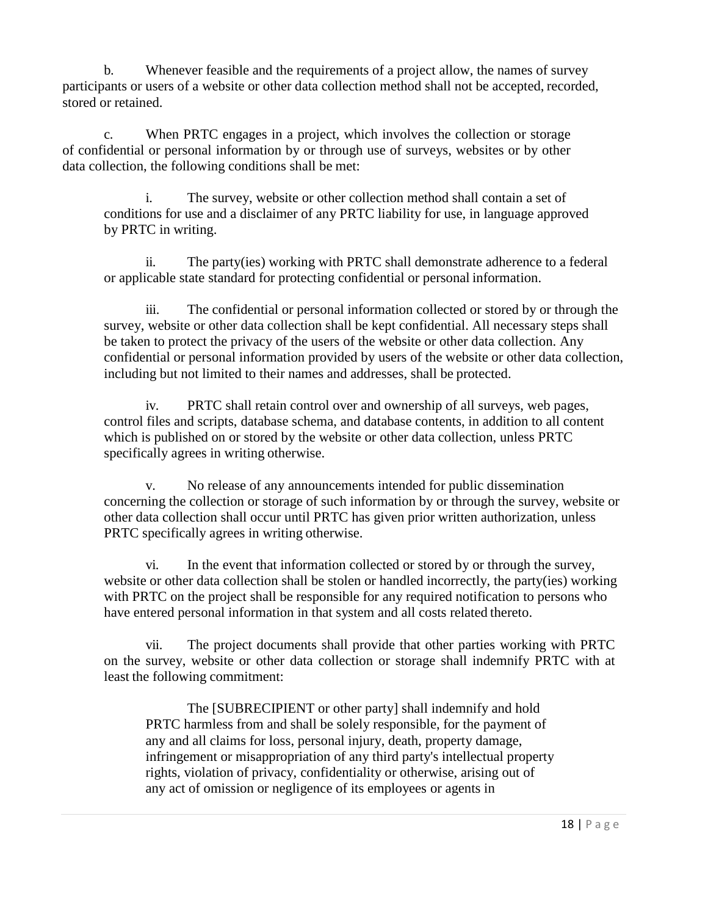b. Whenever feasible and the requirements of a project allow, the names of survey participants or users of a website or other data collection method shall not be accepted, recorded, stored or retained.

c. When PRTC engages in a project, which involves the collection or storage of confidential or personal information by or through use of surveys, websites or by other data collection, the following conditions shall be met:

i. The survey, website or other collection method shall contain a set of conditions for use and a disclaimer of any PRTC liability for use, in language approved by PRTC in writing.

ii. The party(ies) working with PRTC shall demonstrate adherence to a federal or applicable state standard for protecting confidential or personal information.

iii. The confidential or personal information collected or stored by or through the survey, website or other data collection shall be kept confidential. All necessary steps shall be taken to protect the privacy of the users of the website or other data collection. Any confidential or personal information provided by users of the website or other data collection, including but not limited to their names and addresses, shall be protected.

iv. PRTC shall retain control over and ownership of all surveys, web pages, control files and scripts, database schema, and database contents, in addition to all content which is published on or stored by the website or other data collection, unless PRTC specifically agrees in writing otherwise.

v. No release of any announcements intended for public dissemination concerning the collection or storage of such information by or through the survey, website or other data collection shall occur until PRTC has given prior written authorization, unless PRTC specifically agrees in writing otherwise.

vi. In the event that information collected or stored by or through the survey, website or other data collection shall be stolen or handled incorrectly, the party(ies) working with PRTC on the project shall be responsible for any required notification to persons who have entered personal information in that system and all costs related thereto.

vii. The project documents shall provide that other parties working with PRTC on the survey, website or other data collection or storage shall indemnify PRTC with at least the following commitment:

The [SUBRECIPIENT or other party] shall indemnify and hold PRTC harmless from and shall be solely responsible, for the payment of any and all claims for loss, personal injury, death, property damage, infringement or misappropriation of any third party's intellectual property rights, violation of privacy, confidentiality or otherwise, arising out of any act of omission or negligence of its employees or agents in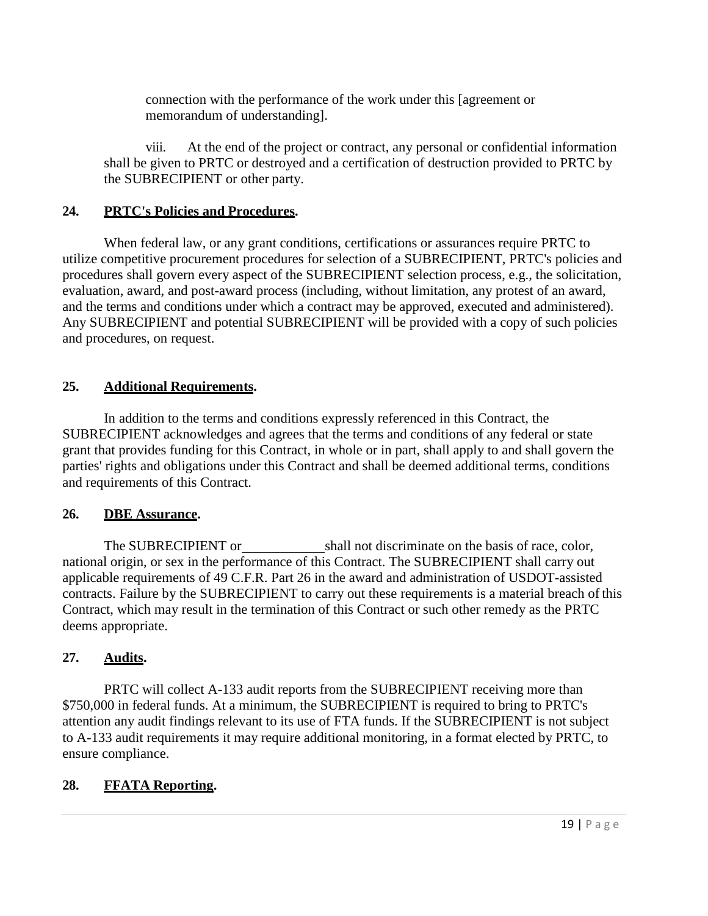connection with the performance of the work under this [agreement or memorandum of understanding].

viii. At the end of the project or contract, any personal or confidential information shall be given to PRTC or destroyed and a certification of destruction provided to PRTC by the SUBRECIPIENT or other party.

### **24. PRTC's Policies and Procedures.**

When federal law, or any grant conditions, certifications or assurances require PRTC to utilize competitive procurement procedures for selection of a SUBRECIPIENT, PRTC's policies and procedures shall govern every aspect of the SUBRECIPIENT selection process, e.g., the solicitation, evaluation, award, and post-award process (including, without limitation, any protest of an award, and the terms and conditions under which a contract may be approved, executed and administered). Any SUBRECIPIENT and potential SUBRECIPIENT will be provided with a copy of such policies and procedures, on request.

### **25. Additional Requirements.**

In addition to the terms and conditions expressly referenced in this Contract, the SUBRECIPIENT acknowledges and agrees that the terms and conditions of any federal or state grant that provides funding for this Contract, in whole or in part, shall apply to and shall govern the parties' rights and obligations under this Contract and shall be deemed additional terms, conditions and requirements of this Contract.

## **26. DBE Assurance.**

The SUBRECIPIENT or shall not discriminate on the basis of race, color, national origin, or sex in the performance of this Contract. The SUBRECIPIENT shall carry out applicable requirements of 49 C.F.R. Part 26 in the award and administration of USDOT-assisted contracts. Failure by the SUBRECIPIENT to carry out these requirements is a material breach of this Contract, which may result in the termination of this Contract or such other remedy as the PRTC deems appropriate.

## **27. Audits.**

PRTC will collect A-133 audit reports from the SUBRECIPIENT receiving more than \$750,000 in federal funds. At a minimum, the SUBRECIPIENT is required to bring to PRTC's attention any audit findings relevant to its use of FTA funds. If the SUBRECIPIENT is not subject to A-133 audit requirements it may require additional monitoring, in a format elected by PRTC, to ensure compliance.

# **28. FFATA Reporting.**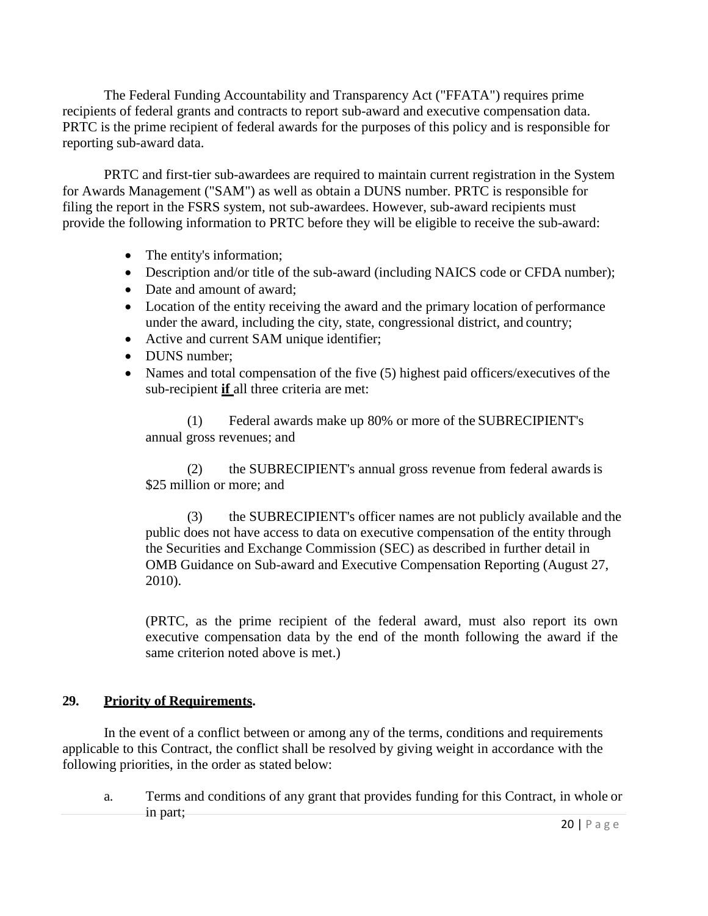The Federal Funding Accountability and Transparency Act ("FFATA") requires prime recipients of federal grants and contracts to report sub-award and executive compensation data. PRTC is the prime recipient of federal awards for the purposes of this policy and is responsible for reporting sub-award data.

PRTC and first-tier sub-awardees are required to maintain current registration in the System for Awards Management ("SAM") as well as obtain a DUNS number. PRTC is responsible for filing the report in the FSRS system, not sub-awardees. However, sub-award recipients must provide the following information to PRTC before they will be eligible to receive the sub-award:

- The entity's information;
- Description and/or title of the sub-award (including NAICS code or CFDA number);
- Date and amount of award;
- Location of the entity receiving the award and the primary location of performance under the award, including the city, state, congressional district, and country;
- Active and current SAM unique identifier;
- DUNS number;
- Names and total compensation of the five (5) highest paid officers/executives of the sub-recipient **if** all three criteria are met:

(1) Federal awards make up 80% or more of the SUBRECIPIENT's annual gross revenues; and

(2) the SUBRECIPIENT's annual gross revenue from federal awardsis \$25 million or more; and

(3) the SUBRECIPIENT's officer names are not publicly available and the public does not have access to data on executive compensation of the entity through the Securities and Exchange Commission (SEC) as described in further detail in OMB Guidance on Sub-award and Executive Compensation Reporting (August 27, 2010).

(PRTC, as the prime recipient of the federal award, must also report its own executive compensation data by the end of the month following the award if the same criterion noted above is met.)

### **29. Priority of Requirements.**

In the event of a conflict between or among any of the terms, conditions and requirements applicable to this Contract, the conflict shall be resolved by giving weight in accordance with the following priorities, in the order as stated below:

a. Terms and conditions of any grant that provides funding for this Contract, in whole or in part;